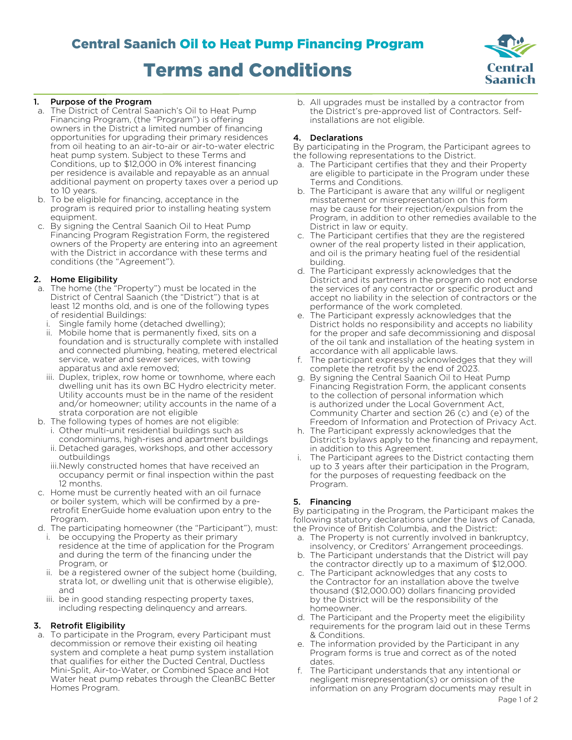# Central Saanich Oil to Heat Pump Financing Program Terms and Conditions



## 1. Purpose of the Program

- a. The District of Central Saanich's Oil to Heat Pump Financing Program, (the "Program") is offering owners in the District a limited number of financing opportunities for upgrading their primary residences from oil heating to an air-to-air or air-to-water electric heat pump system. Subject to these Terms and Conditions, up to \$12,000 in 0% interest financing per residence is available and repayable as an annual additional payment on property taxes over a period up to 10 years.
- b. To be eligible for financing, acceptance in the program is required prior to installing heating system equipment.
- c. By signing the Central Saanich Oil to Heat Pump Financing Program Registration Form, the registered owners of the Property are entering into an agreement with the District in accordance with these terms and conditions (the "Agreement").

#### 2. Home Eligibility

- a. The home (the "Property") must be located in the District of Central Saanich (the "District") that is at least 12 months old, and is one of the following types of residential Buildings:
	- Single family home (detached dwelling);
	- ii. Mobile home that is permanently fixed, sits on a foundation and is structurally complete with installed and connected plumbing, heating, metered electrical service, water and sewer services, with towing apparatus and axle removed;
	- iii. Duplex, triplex, row home or townhome, where each dwelling unit has its own BC Hydro electricity meter. Utility accounts must be in the name of the resident and/or homeowner; utility accounts in the name of a strata corporation are not eligible
- b. The following types of homes are not eligible: i. Other multi-unit residential buildings such as
	- condominiums, high-rises and apartment buildings ii. Detached garages, workshops, and other accessory
	- outbuildings iii.Newly constructed homes that have received an occupancy permit or final inspection within the past 12 months.
- c. Home must be currently heated with an oil furnace or boiler system, which will be confirmed by a preretrofit EnerGuide home evaluation upon entry to the Program.
- d. The participating homeowner (the "Participant"), must:
	- i. be occupying the Property as their primary residence at the time of application for the Program and during the term of the financing under the Program, or
	- ii. be a registered owner of the subject home (building, strata lot, or dwelling unit that is otherwise eligible), and
	- iii. be in good standing respecting property taxes, including respecting delinquency and arrears.

## 3. Retrofit Eligibility

a. To participate in the Program, every Participant must decommission or remove their existing oil heating system and complete a heat pump system installation that qualifies for either the Ducted Central, Ductless Mini-Split, Air-to-Water, or Combined Space and Hot Water heat pump rebates through the CleanBC Better Homes Program.

b. All upgrades must be installed by a contractor from the District's pre-approved list of Contractors. Selfinstallations are not eligible.

#### 4. Declarations

By participating in the Program, the Participant agrees to the following representations to the District.

- a. The Participant certifies that they and their Property are eligible to participate in the Program under these Terms and Conditions.
- b. The Participant is aware that any willful or negligent misstatement or misrepresentation on this form may be cause for their rejection/expulsion from the Program, in addition to other remedies available to the District in law or equity.
- c. The Participant certifies that they are the registered owner of the real property listed in their application, and oil is the primary heating fuel of the residential building.
- d. The Participant expressly acknowledges that the District and its partners in the program do not endorse the services of any contractor or specific product and accept no liability in the selection of contractors or the performance of the work completed.
- e. The Participant expressly acknowledges that the District holds no responsibility and accepts no liability for the proper and safe decommissioning and disposal of the oil tank and installation of the heating system in accordance with all applicable laws.
- f. The participant expressly acknowledges that they will complete the retrofit by the end of 2023.
- g. By signing the Central Saanich Oil to Heat Pump Financing Registration Form, the applicant consents to the collection of personal information which is authorized under the Local Government Act, Community Charter and section 26 (c) and (e) of the Freedom of Information and Protection of Privacy Act.
- h. The Participant expressly acknowledges that the District's bylaws apply to the financing and repayment, in addition to this Agreement.
- i. The Participant agrees to the District contacting them up to 3 years after their participation in the Program, for the purposes of requesting feedback on the Program.

## 5. Financing

By participating in the Program, the Participant makes the following statutory declarations under the laws of Canada, the Province of British Columbia, and the District:

- a. The Property is not currently involved in bankruptcy, insolvency, or Creditors' Arrangement proceedings.
- b. The Participant understands that the District will pay the contractor directly up to a maximum of \$12,000.
- c. The Participant acknowledges that any costs to the Contractor for an installation above the twelve thousand (\$12,000.00) dollars financing provided by the District will be the responsibility of the homeowner.
- d. The Participant and the Property meet the eligibility requirements for the program laid out in these Terms & Conditions.
- e. The information provided by the Participant in any Program forms is true and correct as of the noted dates.
- f. The Participant understands that any intentional or negligent misrepresentation(s) or omission of the information on any Program documents may result in